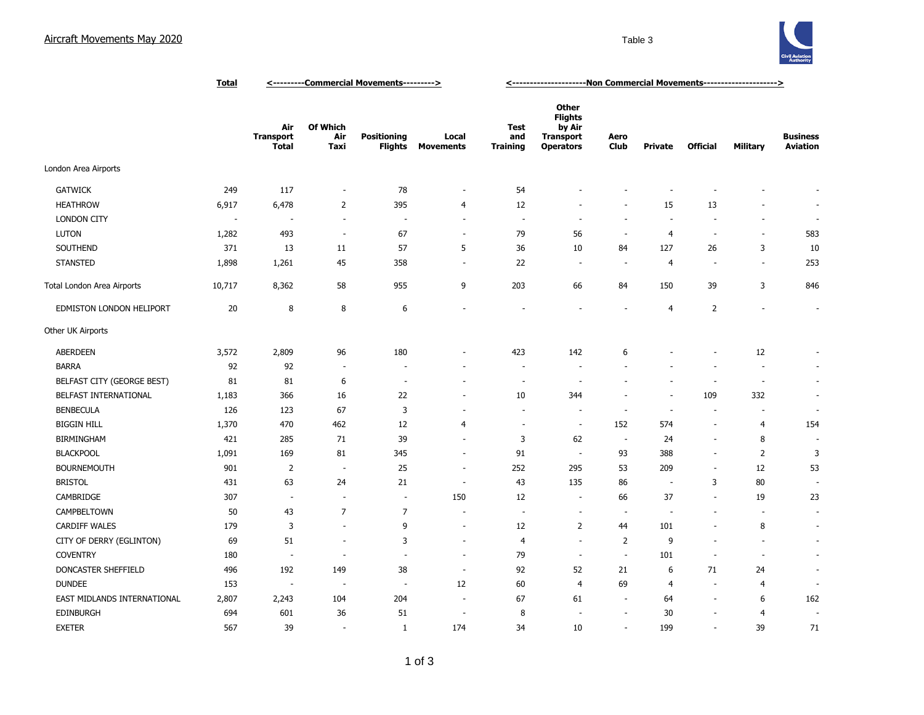## Aircraft Movements May 2020 **Table 3** Table 3



|                             | <b>Total</b> | <---------Commercial Movements---------> |                          |                                      |                           | <-----------------------Non Commercial Movements---------------------> |                                                                                  |                          |                          |                          |                 |                                    |
|-----------------------------|--------------|------------------------------------------|--------------------------|--------------------------------------|---------------------------|------------------------------------------------------------------------|----------------------------------------------------------------------------------|--------------------------|--------------------------|--------------------------|-----------------|------------------------------------|
|                             |              | Air<br><b>Transport</b><br><b>Total</b>  | Of Which<br>Air<br>Taxi  | <b>Positioning</b><br><b>Flights</b> | Local<br><b>Movements</b> | <b>Test</b><br>and<br><b>Training</b>                                  | <b>Other</b><br><b>Flights</b><br>by Air<br><b>Transport</b><br><b>Operators</b> | Aero<br><b>Club</b>      | <b>Private</b>           | <b>Official</b>          | <b>Military</b> | <b>Business</b><br><b>Aviation</b> |
| London Area Airports        |              |                                          |                          |                                      |                           |                                                                        |                                                                                  |                          |                          |                          |                 |                                    |
| <b>GATWICK</b>              | 249          | 117                                      | ÷,                       | 78                                   | ÷,                        | 54                                                                     |                                                                                  |                          |                          |                          |                 |                                    |
| <b>HEATHROW</b>             | 6,917        | 6,478                                    | $\overline{2}$           | 395                                  | $\overline{4}$            | 12                                                                     |                                                                                  |                          | 15                       | 13                       |                 |                                    |
| <b>LONDON CITY</b>          | ÷.           | ٠.                                       | ÷.                       | $\overline{\phantom{a}}$             | $\overline{\phantom{a}}$  | $\overline{\phantom{a}}$                                               | ÷.                                                                               | ÷,                       | ÷.                       | $\sim$                   |                 | ÷.                                 |
| <b>LUTON</b>                | 1,282        | 493                                      | $\sim$                   | 67                                   | $\sim$                    | 79                                                                     | 56                                                                               | $\overline{\phantom{a}}$ | $\overline{4}$           | ÷.                       | $\sim$          | 583                                |
| SOUTHEND                    | 371          | 13                                       | 11                       | 57                                   | 5                         | 36                                                                     | 10                                                                               | 84                       | 127                      | 26                       | 3               | $10\,$                             |
| <b>STANSTED</b>             | 1,898        | 1,261                                    | 45                       | 358                                  | $\sim$                    | 22                                                                     | $\overline{\phantom{a}}$                                                         | ÷,                       | $\overline{4}$           | $\overline{\phantom{a}}$ | $\sim$          | 253                                |
| Total London Area Airports  | 10,717       | 8,362                                    | 58                       | 955                                  | 9                         | 203                                                                    | 66                                                                               | 84                       | 150                      | 39                       | 3               | 846                                |
| EDMISTON LONDON HELIPORT    | 20           | 8                                        | 8                        | 6                                    | ÷                         |                                                                        |                                                                                  | ÷                        | 4                        | $\overline{2}$           |                 | $\sim$                             |
| Other UK Airports           |              |                                          |                          |                                      |                           |                                                                        |                                                                                  |                          |                          |                          |                 |                                    |
| <b>ABERDEEN</b>             | 3,572        | 2,809                                    | 96                       | 180                                  |                           | 423                                                                    | 142                                                                              | 6                        |                          |                          | 12              |                                    |
| <b>BARRA</b>                | 92           | 92                                       | $\overline{\phantom{a}}$ | $\overline{\phantom{a}}$             |                           | ÷,                                                                     | $\overline{\phantom{a}}$                                                         |                          |                          | ٠                        | $\sim$          | $\sim$                             |
| BELFAST CITY (GEORGE BEST)  | 81           | 81                                       | 6                        | $\overline{\phantom{a}}$             | ÷                         | $\overline{\phantom{a}}$                                               | ÷.                                                                               |                          |                          | ÷,                       | ÷.              | $\sim$                             |
| BELFAST INTERNATIONAL       | 1,183        | 366                                      | 16                       | 22                                   | ÷,                        | 10                                                                     | 344                                                                              |                          | $\sim$                   | 109                      | 332             | $\overline{\phantom{a}}$           |
| <b>BENBECULA</b>            | 126          | 123                                      | 67                       | 3                                    |                           | ÷,                                                                     |                                                                                  | ÷,                       | $\sim$                   | ÷,                       |                 | $\overline{\phantom{a}}$           |
| <b>BIGGIN HILL</b>          | 1,370        | 470                                      | 462                      | 12                                   | $\overline{4}$            | ÷,                                                                     | $\sim$                                                                           | 152                      | 574                      | $\overline{\phantom{a}}$ | $\overline{4}$  | 154                                |
| <b>BIRMINGHAM</b>           | 421          | 285                                      | 71                       | 39                                   | $\sim$                    | 3                                                                      | 62                                                                               | $\sim$                   | 24                       | $\overline{\phantom{a}}$ | 8               | $\sim$                             |
| <b>BLACKPOOL</b>            | 1,091        | 169                                      | 81                       | 345                                  | $\sim$                    | 91                                                                     | $\sim$                                                                           | 93                       | 388                      | $\blacksquare$           | $\overline{2}$  | 3                                  |
| <b>BOURNEMOUTH</b>          | 901          | $\overline{2}$                           | $\sim$                   | 25                                   | $\overline{\phantom{a}}$  | 252                                                                    | 295                                                                              | 53                       | 209                      | $\overline{\phantom{a}}$ | 12              | 53                                 |
| <b>BRISTOL</b>              | 431          | 63                                       | 24                       | 21                                   | $\overline{\phantom{a}}$  | 43                                                                     | 135                                                                              | 86                       | $\overline{\phantom{a}}$ | 3                        | 80              |                                    |
| CAMBRIDGE                   | 307          | $\overline{\phantom{a}}$                 | $\overline{\phantom{a}}$ | $\overline{\phantom{a}}$             | 150                       | 12                                                                     | $\sim$                                                                           | 66                       | 37                       | ÷,                       | 19              | 23                                 |
| CAMPBELTOWN                 | 50           | 43                                       | $\overline{7}$           | $\boldsymbol{7}$                     | ÷                         | ÷,                                                                     | ÷.                                                                               | ٠.                       |                          | ÷                        |                 | $\sim$                             |
| <b>CARDIFF WALES</b>        | 179          | 3                                        | ä,                       | 9                                    | ÷,                        | 12                                                                     | $\overline{2}$                                                                   | 44                       | 101                      |                          | 8               | $\sim$                             |
| CITY OF DERRY (EGLINTON)    | 69           | 51                                       | ÷.                       | 3                                    | $\overline{\phantom{a}}$  | 4                                                                      | $\sim$                                                                           | $\overline{2}$           | 9                        | $\sim$                   |                 | $\sim$                             |
| <b>COVENTRY</b>             | 180          | $\overline{\phantom{a}}$                 | $\overline{\phantom{a}}$ | $\overline{a}$                       | $\sim$                    | 79                                                                     | $\sim$                                                                           | $\sim$                   | 101                      | $\overline{\phantom{a}}$ | $\overline{a}$  | $\sim$                             |
| DONCASTER SHEFFIELD         | 496          | 192                                      | 149                      | 38                                   | $\overline{\phantom{a}}$  | 92                                                                     | 52                                                                               | 21                       | 6                        | 71                       | 24              | $\overline{\phantom{a}}$           |
| <b>DUNDEE</b>               | 153          | $\sim$                                   | $\sim$                   | $\overline{\phantom{a}}$             | 12                        | 60                                                                     | $\overline{4}$                                                                   | 69                       | 4                        | $\overline{\phantom{a}}$ | $\overline{4}$  | $\overline{\phantom{a}}$           |
| EAST MIDLANDS INTERNATIONAL | 2,807        | 2,243                                    | 104                      | 204                                  | $\overline{\phantom{a}}$  | 67                                                                     | 61                                                                               | $\overline{\phantom{a}}$ | 64                       | $\overline{\phantom{a}}$ | 6               | 162                                |
| <b>EDINBURGH</b>            | 694          | 601                                      | 36                       | 51                                   | $\overline{a}$            | 8                                                                      | $\overline{\phantom{a}}$                                                         | $\overline{\phantom{a}}$ | 30                       | $\overline{\phantom{a}}$ | $\overline{4}$  | $\overline{\phantom{a}}$           |
| <b>EXETER</b>               | 567          | 39                                       | $\overline{\phantom{a}}$ | 1                                    | 174                       | 34                                                                     | 10                                                                               | $\sim$                   | 199                      | $\overline{\phantom{a}}$ | 39              | 71                                 |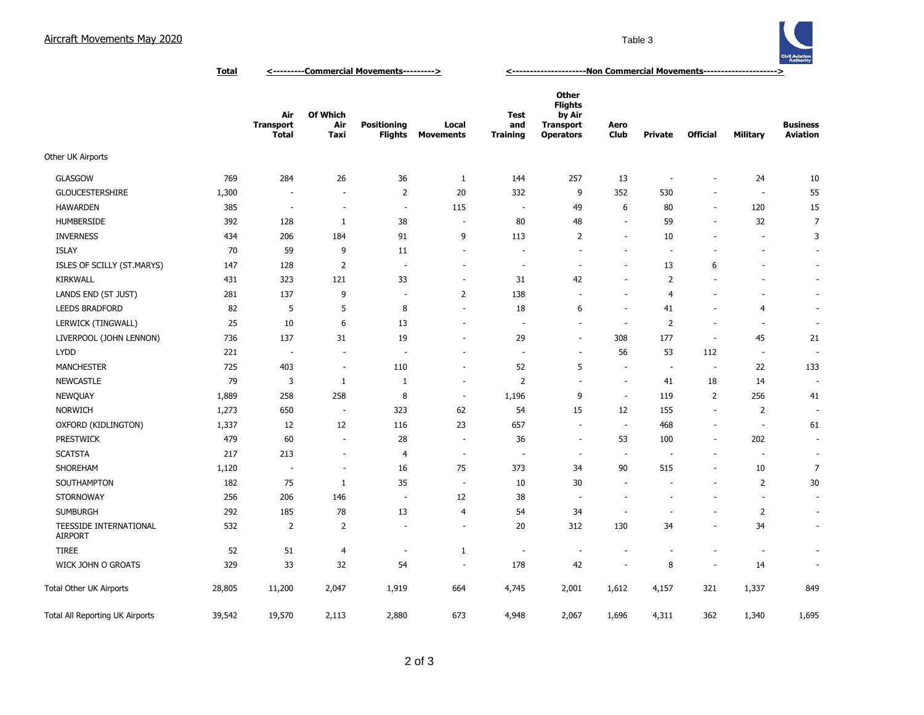## Aircraft Movements May 2020 **Table 3** Table 3



**Total <---------Commercial Movements---------> <---------------------Non Commercial Movements--------------------->**

|                                          |        | Air<br><b>Transport</b><br><b>Total</b> | Of Which<br>Air<br>Taxi  | <b>Positioning</b><br>Flights | Local<br><b>Movements</b> | Test<br>and<br><b>Training</b> | Other<br><b>Flights</b><br>by Air<br><b>Transport</b><br><b>Operators</b> | Aero<br><b>Club</b>      | <b>Private</b>           | <b>Official</b>          | <b>Military</b>          | <b>Business</b><br><b>Aviation</b> |
|------------------------------------------|--------|-----------------------------------------|--------------------------|-------------------------------|---------------------------|--------------------------------|---------------------------------------------------------------------------|--------------------------|--------------------------|--------------------------|--------------------------|------------------------------------|
| Other UK Airports                        |        |                                         |                          |                               |                           |                                |                                                                           |                          |                          |                          |                          |                                    |
| <b>GLASGOW</b>                           | 769    | 284                                     | 26                       | 36                            | $\mathbf{1}$              | 144                            | 257                                                                       | 13                       | $\sim$                   | $\overline{a}$           | 24                       | 10                                 |
| <b>GLOUCESTERSHIRE</b>                   | 1,300  | $\overline{a}$                          | $\overline{\phantom{a}}$ | $\overline{2}$                | 20                        | 332                            | 9                                                                         | 352                      | 530                      | $\overline{\phantom{a}}$ | $\overline{\phantom{a}}$ | 55                                 |
| <b>HAWARDEN</b>                          | 385    | $\overline{\phantom{a}}$                | $\overline{\phantom{a}}$ | $\overline{\phantom{a}}$      | 115                       | $\overline{\phantom{a}}$       | 49                                                                        | 6                        | 80                       | $\overline{\phantom{a}}$ | 120                      | 15                                 |
| <b>HUMBERSIDE</b>                        | 392    | 128                                     | 1                        | 38                            | $\overline{\phantom{a}}$  | 80                             | 48                                                                        | $\sim$                   | 59                       | $\blacksquare$           | 32                       | $\overline{7}$                     |
| <b>INVERNESS</b>                         | 434    | 206                                     | 184                      | 91                            | 9                         | 113                            | $\overline{2}$                                                            | $\sim$                   | 10                       | $\overline{\phantom{a}}$ | $\overline{\phantom{a}}$ | 3                                  |
| <b>ISLAY</b>                             | 70     | 59                                      | 9                        | 11                            | $\overline{\phantom{a}}$  | ÷,                             | ÷,                                                                        | $\overline{\phantom{a}}$ | $\overline{\phantom{a}}$ | ÷,                       |                          | $\sim$                             |
| ISLES OF SCILLY (ST.MARYS)               | 147    | 128                                     | $\overline{2}$           | $\overline{\phantom{a}}$      | $\overline{\phantom{a}}$  | $\overline{\phantom{a}}$       | $\overline{\phantom{a}}$                                                  | ÷.                       | 13                       | 6                        |                          | $\sim$                             |
| <b>KIRKWALL</b>                          | 431    | 323                                     | 121                      | 33                            | $\overline{\phantom{a}}$  | 31                             | 42                                                                        | $\sim$                   | $\overline{2}$           | $\overline{\phantom{a}}$ |                          | $\sim$                             |
| LANDS END (ST JUST)                      | 281    | 137                                     | 9                        | $\sim$                        | $\overline{2}$            | 138                            | ÷.                                                                        | $\sim$                   | $\overline{4}$           | $\sim$                   |                          | $\sim$                             |
| <b>LEEDS BRADFORD</b>                    | 82     | 5                                       | 5                        | 8                             | $\sim$                    | 18                             | 6                                                                         | $\sim$                   | 41                       | $\sim$                   | $\overline{4}$           | $\overline{\phantom{a}}$           |
| LERWICK (TINGWALL)                       | 25     | 10                                      | $\boldsymbol{6}$         | 13                            | $\overline{\phantom{a}}$  | $\overline{\phantom{a}}$       | $\sim$                                                                    | $\overline{\phantom{a}}$ | $\overline{2}$           | $\sim$                   | $\overline{\phantom{a}}$ | $\overline{\phantom{a}}$           |
| LIVERPOOL (JOHN LENNON)                  | 736    | 137                                     | 31                       | 19                            | $\sim$                    | 29                             | $\overline{\phantom{a}}$                                                  | 308                      | 177                      | $\sim$                   | 45                       | 21                                 |
| <b>LYDD</b>                              | 221    | $\overline{\phantom{a}}$                | ÷,                       | $\overline{\phantom{a}}$      | ٠                         | ÷,                             | $\overline{\phantom{a}}$                                                  | 56                       | 53                       | 112                      | $\overline{\phantom{a}}$ |                                    |
| <b>MANCHESTER</b>                        | 725    | 403                                     | ÷,                       | 110                           | $\overline{\phantom{a}}$  | 52                             | 5                                                                         |                          | $\overline{\phantom{a}}$ | $\overline{\phantom{a}}$ | 22                       | 133                                |
| <b>NEWCASTLE</b>                         | 79     | 3                                       | $\mathbf{1}$             | 1                             | $\sim$                    | $\overline{2}$                 | ä,                                                                        |                          | 41                       | 18                       | 14                       | $\sim$                             |
| <b>NEWQUAY</b>                           | 1,889  | 258                                     | 258                      | 8                             | $\sim$                    | 1,196                          | 9                                                                         | $\sim$                   | 119                      | $\overline{2}$           | 256                      | 41                                 |
| <b>NORWICH</b>                           | 1,273  | 650                                     | $\sim$                   | 323                           | 62                        | 54                             | 15                                                                        | 12                       | 155                      | ÷.                       | $\overline{2}$           |                                    |
| OXFORD (KIDLINGTON)                      | 1,337  | 12                                      | 12                       | 116                           | 23                        | 657                            | $\overline{\phantom{a}}$                                                  | $\sim$                   | 468                      | $\overline{\phantom{a}}$ | $\overline{\phantom{a}}$ | 61                                 |
| <b>PRESTWICK</b>                         | 479    | 60                                      | $\overline{\phantom{a}}$ | 28                            | $\overline{\phantom{a}}$  | 36                             | $\overline{\phantom{a}}$                                                  | 53                       | 100                      | $\overline{\phantom{a}}$ | 202                      | $\overline{\phantom{a}}$           |
| <b>SCATSTA</b>                           | 217    | 213                                     | $\overline{\phantom{a}}$ | 4                             | $\overline{\phantom{a}}$  | $\overline{a}$                 | $\overline{\phantom{a}}$                                                  | $\overline{\phantom{a}}$ | $\overline{a}$           | ÷,                       | $\overline{\phantom{a}}$ | $\overline{\phantom{a}}$           |
| SHOREHAM                                 | 1,120  | $\overline{\phantom{a}}$                | ÷,                       | 16                            | 75                        | 373                            | 34                                                                        | 90                       | 515                      | $\overline{\phantom{a}}$ | 10                       | $\overline{7}$                     |
| SOUTHAMPTON                              | 182    | 75                                      | $\mathbf{1}$             | 35                            | $\overline{\phantom{a}}$  | 10                             | 30                                                                        |                          |                          | ÷,                       | $\overline{2}$           | 30                                 |
| <b>STORNOWAY</b>                         | 256    | 206                                     | 146                      | $\overline{\phantom{a}}$      | 12                        | 38                             | $\sim$                                                                    |                          | ٠                        | ۰                        | $\overline{\phantom{a}}$ | $\sim$                             |
| <b>SUMBURGH</b>                          | 292    | 185                                     | 78                       | 13                            | 4                         | 54                             | 34                                                                        |                          | $\overline{\phantom{a}}$ | $\overline{\phantom{a}}$ | $\overline{2}$           | $\sim$                             |
| TEESSIDE INTERNATIONAL<br><b>AIRPORT</b> | 532    | $\overline{2}$                          | $\overline{2}$           | $\sim$                        | $\overline{\phantom{a}}$  | 20                             | 312                                                                       | 130                      | 34                       | $\overline{\phantom{a}}$ | 34                       | $\sim$                             |
| <b>TIREE</b>                             | 52     | 51                                      | $\overline{4}$           | $\overline{\phantom{a}}$      | $\mathbf{1}$              | $\overline{\phantom{a}}$       | $\overline{\phantom{a}}$                                                  |                          | $\overline{\phantom{a}}$ | $\overline{\phantom{a}}$ | $\overline{\phantom{a}}$ | $\overline{\phantom{a}}$           |
| WICK JOHN O GROATS                       | 329    | 33                                      | 32                       | 54                            | $\overline{\phantom{a}}$  | 178                            | 42                                                                        | $\sim$                   | 8                        | $\overline{\phantom{a}}$ | 14                       | $\sim$                             |
| Total Other UK Airports                  | 28,805 | 11,200                                  | 2,047                    | 1,919                         | 664                       | 4,745                          | 2,001                                                                     | 1,612                    | 4,157                    | 321                      | 1,337                    | 849                                |
| Total All Reporting UK Airports          | 39,542 | 19,570                                  | 2,113                    | 2,880                         | 673                       | 4,948                          | 2,067                                                                     | 1,696                    | 4,311                    | 362                      | 1,340                    | 1,695                              |